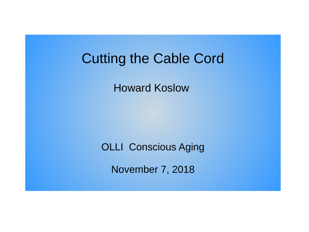# Cutting the Cable Cord

Howard Koslow

OLLI Conscious Aging

November 7, 2018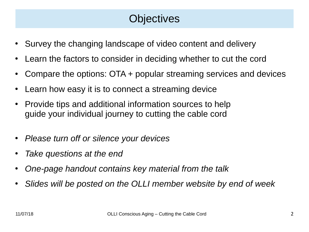## **Objectives**

- Survey the changing landscape of video content and delivery
- Learn the factors to consider in deciding whether to cut the cord
- Compare the options:  $\overline{OTA}$  + popular streaming services and devices
- Learn how easy it is to connect a streaming device
- Provide tips and additional information sources to help guide your individual journey to cutting the cable cord
- *Please turn off or silence your devices*
- *Take questions at the end*
- *One-page handout contains key material from the talk*
- *Slides will be posted on the OLLI member website by end of week*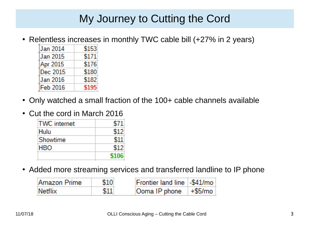### My Journey to Cutting the Cord

• Relentless increases in monthly TWC cable bill (+27% in 2 years)

| Jan 2014 | \$153 |
|----------|-------|
| Jan 2015 | \$171 |
| Apr 2015 | \$176 |
| Dec 2015 | \$180 |
| Jan 2016 | \$182 |
| Feb 2016 |       |

- Only watched a small fraction of the 100+ cable channels available
- Cut the cord in March 2016

| <b>TWC</b> internet | S71   |
|---------------------|-------|
| Hulu                | \$12  |
| Showtime            | \$11  |
| HBO                 | 512   |
|                     | \$106 |

• Added more streaming services and transferred landline to IP phone

| Amazon Prime | \$10 | Frontier land line   -\$41/mo       |  |
|--------------|------|-------------------------------------|--|
| Netflix      |      | $\sqrt{2}$ Ooma IP phone $+ $5/m$ o |  |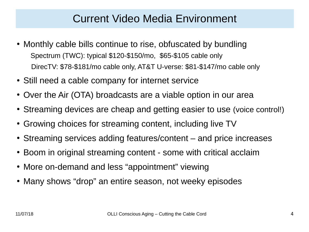#### Current Video Media Environment

- Monthly cable bills continue to rise, obfuscated by bundling Spectrum (TWC): typical \$120-\$150/mo, \$65-\$105 cable only DirecTV: \$78-\$181/mo cable only, AT&T U-verse: \$81-\$147/mo cable only
- Still need a cable company for internet service
- Over the Air (OTA) broadcasts are a viable option in our area
- Streaming devices are cheap and getting easier to use (voice control!)
- Growing choices for streaming content, including live TV
- Streaming services adding features/content and price increases
- Boom in original streaming content some with critical acclaim
- More on-demand and less "appointment" viewing
- Many shows "drop" an entire season, not weeky episodes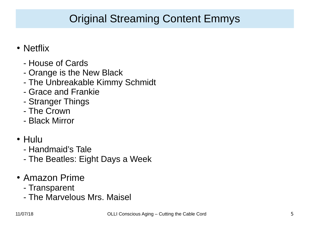## Original Streaming Content Emmys

- Netflix
	- House of Cards
	- Orange is the New Black
	- The Unbreakable Kimmy Schmidt
	- Grace and Frankie
	- Stranger Things
	- The Crown
	- Black Mirror
- Hulu
	- Handmaid's Tale
	- The Beatles: Eight Days a Week
- Amazon Prime
	- Transparent
	- The Marvelous Mrs. Maisel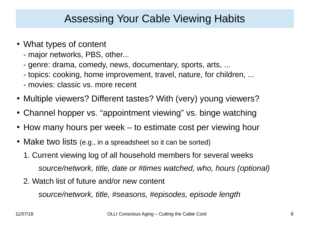#### Assessing Your Cable Viewing Habits

- What types of content
	- major networks, PBS, other...
	- genre: drama, comedy, news, documentary, sports, arts, ...
	- topics: cooking, home improvement, travel, nature, for children, ...
	- movies: classic vs. more recent
- Multiple viewers? Different tastes? With (very) young viewers?
- Channel hopper vs. "appointment viewing" vs. binge watching
- How many hours per week to estimate cost per viewing hour
- Make two lists (e.g., in a spreadsheet so it can be sorted)
	- 1. Current viewing log of all household members for several weeks *source/network, title, date or #times watched, who, hours (optional)*
	- 2. Watch list of future and/or new content

*source/network, title, #seasons, #episodes, episode length*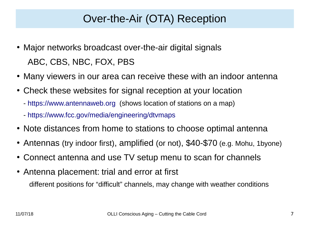#### Over-the-Air (OTA) Reception

- Major networks broadcast over-the-air digital signals ABC, CBS, NBC, FOX, PBS
- Many viewers in our area can receive these with an indoor antenna
- Check these websites for signal reception at your location
	- [https://www.antennaweb.org](https://www.antennaweb.org/) (shows location of stations on a map)
	- <https://www.fcc.gov/media/engineering/dtvmaps>
- Note distances from home to stations to choose optimal antenna
- Antennas (try indoor first), amplified (or not), \$40-\$70 (e.g. Mohu, 1byone)
- Connect antenna and use TV setup menu to scan for channels
- Antenna placement: trial and error at first different positions for "difficult" channels, may change with weather conditions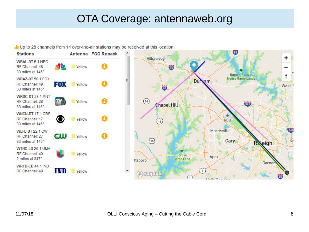#### OTA Coverage: antennaweb.org

I Up to 28 channels from 14 over-the-air stations may be received at this location.

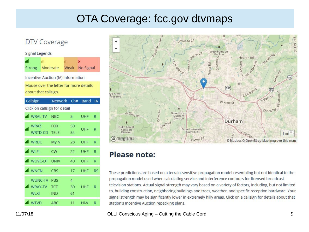#### OTA Coverage: fcc.gov dtvmaps

#### DTV Coverage

#### **Signal Legends** ad. al.  $\overline{\mathbf{x}}$ Weak No Signal **Strong** Moderate Incentive Auction (IA) Information Mouse over the letter for more details about that callsign. Callsign Network Ch# Band IA Click on callsign for detail ull WRAL-TV NBC **UHF** 5 R WRA7 **FOX** 50  $\overline{a}$ **UHF**  $\mathbb{R}$ WRTD-CD 54 TELE all WRDC My N **UHF** 28  $\mathbb{R}$ all WLFL  $CW$ **UHF** 22  $\mathsf{R}$ ull WUVC-DT UNIV 40 UHF  $\mathsf{R}$ all WNCN CBS 17 UHF **RS WUNC-TV PBS**  $\overline{4}$ ull WRAY-TV TCT 30 UHF R **WLXI** IND 61 all WTVD ABC  $11$ Hi-V R.



#### **Please note:**

These predictions are based on a terrain-sensitive propagation model resembling but not identical to the propagation model used when calculating service and interference contours for licensed broadcast television stations. Actual signal strength may vary based on a variety of factors, including, but not limited to, building construction, neighboring buildings and trees, weather, and specific reception hardware. Your signal strength may be significantly lower in extremely hilly areas. Click on a callsign for details about that station's Incentive Auction repacking plans.

#### OLLI Conscious Aging - Cutting the Cable Cord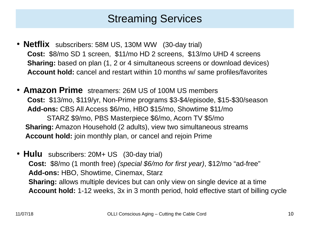#### Streaming Services

- **Netflix** subscribers: 58M US, 130M WW (30-day trial) **Cost:** \$8/mo SD 1 screen, \$11/mo HD 2 screens, \$13/mo UHD 4 screens **Sharing:** based on plan (1, 2 or 4 simultaneous screens or download devices) **Account hold:** cancel and restart within 10 months w/ same profiles/favorites
- **Amazon Prime** streamers: 26M US of 100M US members **Cost:** \$13/mo, \$119/yr, Non-Prime programs \$3-\$4/episode, \$15-\$30/season **Add-ons:** CBS All Access \$6/mo, HBO \$15/mo, Showtime \$11/mo STARZ \$9/mo, PBS Masterpiece \$6/mo, Acorn TV \$5/mo **Sharing:** Amazon Household (2 adults), view two simultaneous streams **Account hold:** join monthly plan, or cancel and rejoin Prime
- **Hulu** subscribers: 20M+ US (30-day trial)  **Cost:** \$8/mo (1 month free) *(special \$6/mo for first year)*, \$12/mo "ad-free" **Add-ons:** HBO, Showtime, Cinemax, Starz **Sharing:** allows multiple devices but can only view on single device at a time **Account hold:** 1-12 weeks, 3x in 3 month period, hold effective start of billing cycle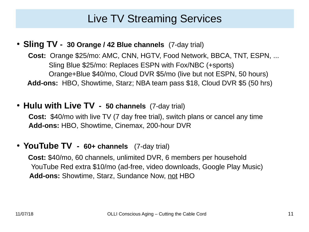#### Live TV Streaming Services

● **Sling TV - 30 Orange / 42 Blue channels** (7-day trial)

 **Cost:** Orange \$25/mo: AMC, CNN, HGTV, Food Network, BBCA, TNT, ESPN, ... Sling Blue \$25/mo: Replaces ESPN with Fox/NBC (+sports) Orange+Blue \$40/mo, Cloud DVR \$5/mo (live but not ESPN, 50 hours) **Add-ons:** HBO, Showtime, Starz; NBA team pass \$18, Cloud DVR \$5 (50 hrs)

● **Hulu with Live TV - 50 channels** (7-day trial)

 **Cost:** \$40/mo with live TV (7 day free trial), switch plans or cancel any time **Add-ons:** HBO, Showtime, Cinemax, 200-hour DVR

● **YouTube TV - 60+ channels** (7-day trial)

 **Cost:** \$40/mo, 60 channels, unlimited DVR, 6 members per household YouTube Red extra \$10/mo (ad-free, video downloads, Google Play Music) **Add-ons:** Showtime, Starz, Sundance Now, not HBO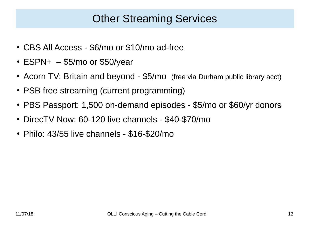#### Other Streaming Services

- CBS All Access \$6/mo or \$10/mo ad-free
- $\cdot$  ESPN+  $-$  \$5/mo or \$50/year
- Acorn TV: Britain and beyond \$5/mo (free via Durham public library acct)
- PSB free streaming (current programming)
- PBS Passport: 1,500 on-demand episodes \$5/mo or \$60/yr donors
- DirecTV Now: 60-120 live channels \$40-\$70/mo
- $\cdot$  Philo: 43/55 live channels \$16-\$20/mo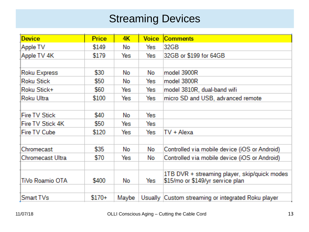#### **Streaming Devices**

| <b>Device</b>       | <b>Price</b> | 4K    | <b>Voice</b> | <b>Comments</b>                                    |
|---------------------|--------------|-------|--------------|----------------------------------------------------|
| Apple TV            | \$149        | No    | Yes          | 32GB                                               |
| Apple TV 4K         | \$179        | Yes:  | Yes          | 32GB or \$199 for 64GB                             |
|                     |              |       |              |                                                    |
| <b>Roku Express</b> | \$30         | No    | No           | model 3900R                                        |
| Roku Stick          | \$50         | No    | Yes:         | model 3800R                                        |
| Roku Stick+         | \$60         | Yes:  | Yes          | model 3810R, dual-band wifi                        |
| <b>Roku Ultra</b>   | \$100        | Yes:  | Yes:         | micro SD and USB, advanced remote                  |
|                     |              |       |              |                                                    |
| Fire TV Stick       | \$40         | No    | Yes:         |                                                    |
| Fire TV Stick 4K    | \$50         | Yes:  | Yes          |                                                    |
| Fire TV Cube        | \$120        | Yes:  | Yes:         | TV + Alexa                                         |
|                     |              |       |              |                                                    |
| Chromecast          | \$35         | No    | No.          | Controlled via mobile device (iOS or Android)      |
| Chromecast Ultra    | \$70         | Yes:  | No           | Controlled via mobile device (iOS or Android)      |
|                     |              |       |              |                                                    |
|                     |              |       |              | 1TB DVR + streaming player, skip/quick modes       |
| TiVo Roamio OTA     | \$400        | No    | Yes          | \$15/mo or \$149/yr service plan                   |
|                     |              |       |              |                                                    |
| Smart TVs           | $$170+$      | Maybe |              | Usually Custom streaming or integrated Roku player |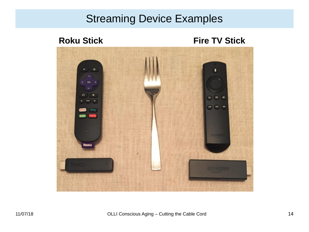#### Streaming Device Examples

**Roku Stick Fire TV Stick** 

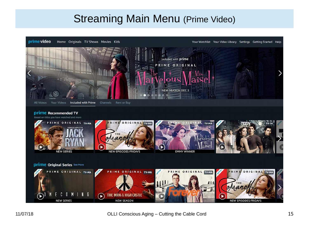#### **Streaming Main Menu (Prime Video)**

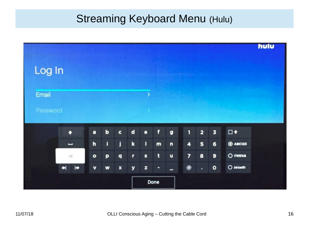#### **Streaming Keyboard Menu (Hulu)**

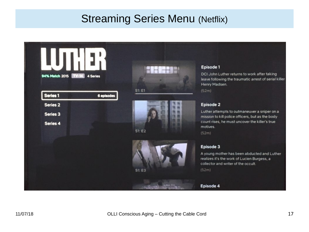#### **Streaming Series Menu (Netflix)**

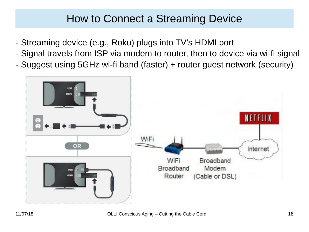#### How to Connect a Streaming Device

- Streaming device (e.g., Roku) plugs into TV's HDMI port
- Signal travels from ISP via modem to router, then to device via wi-fi signal
- Suggest using 5GHz wi-fi band (faster) + router guest network (security)

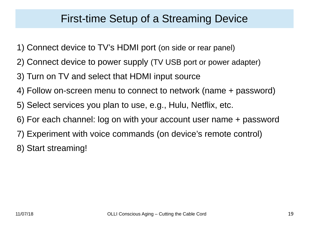#### First-time Setup of a Streaming Device

- 1) Connect device to TV's HDMI port (on side or rear panel)
- 2) Connect device to power supply (TV USB port or power adapter)
- 3) Turn on TV and select that HDMI input source
- 4) Follow on-screen menu to connect to network (name + password)
- 5) Select services you plan to use, e.g., Hulu, Netflix, etc.
- 6) For each channel: log on with your account user name + password
- 7) Experiment with voice commands (on device's remote control)
- 8) Start streaming!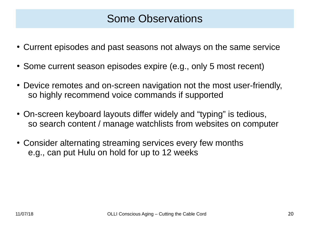- Current episodes and past seasons not always on the same service
- Some current season episodes expire (e.g., only 5 most recent)
- Device remotes and on-screen navigation not the most user-friendly, so highly recommend voice commands if supported
- On-screen keyboard layouts differ widely and "typing" is tedious, so search content / manage watchlists from websites on computer
- Consider alternating streaming services every few months e.g., can put Hulu on hold for up to 12 weeks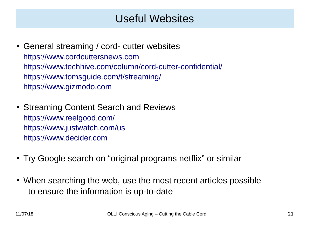#### Useful Websites

- General streaming / cord- cutter websites [https://www.cordcuttersnews.com](https://www.cordcuttersnews.com/) <https://www.techhive.com/column/cord-cutter-confidential/> <https://www.tomsguide.com/t/streaming/> [https://www.gizmodo.com](https://www.gizmodo.com/)
- Streaming Content Search and Reviews <https://www.reelgood.com/> <https://www.justwatch.com/us> [https://www.decider.com](https://www.decider.com/)
- Try Google search on "original programs netflix" or similar
- When searching the web, use the most recent articles possible to ensure the information is up-to-date